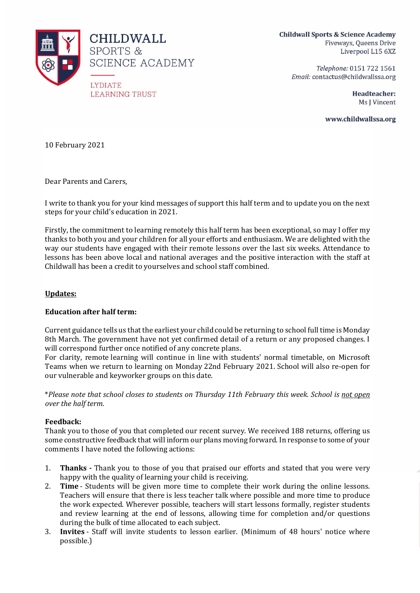

**Childwall Sports & Science Academy** Fiveways, Queens Drive Liverpool L15 6XZ

Telephone: 0151 722 1561 Email: contactus@childwallssa.org

> Headteacher: Ms J Vincent

www.childwallssa.org

10 February 2021

Dear Parents and Carers,

I write to thank you for your kind messages of support this half term and to update you on the next steps for your child's education in 2021.

Firstly, the commitment to learning remotely this half term has been exceptional, so may I offer my thanks to both you and your children for all your efforts and enthusiasm. We are delighted with the way our students have engaged with their remote lessons over the last six weeks. Attendance to lessons has been above local and national averages and the positive interaction with the staff at Childwall has been a credit to yourselves and school staff combined.

## **Updates:**

## **Education after half term:**

Current guidance tells us that the earliest your child could be returning to school full time is Monday 8th March. The government have not yet confirmed detail of a return or any proposed changes. I will correspond further once notified of any concrete plans.

For clarity, remote learning will continue in line with students' normal timetable, on Microsoft Teams when we return to learning on Monday 22nd February 2021. School will also re-open for our vulnerable and keyworker groups on this date.

\**Please note that school closes to students on Thursday 11th February this week. School is not open over the half term.*

## **Feedback:**

Thank you to those of you that completed our recent survey. We received 188 returns, offering us some constructive feedback that will inform our plans moving forward. In response to some of your comments I have noted the following actions:

- 1. **Thanks -** Thank you to those of you that praised our efforts and stated that you were very happy with the quality of learning your child is receiving.
- 2. **Time** Students will be given more time to complete their work during the online lessons. Teachers will ensure that there is less teacher talk where possible and more time to produce the work expected. Wherever possible, teachers will start lessons formally, register students and review learning at the end of lessons, allowing time for completion and/or questions during the bulk of time allocated to each subject.
- 3. **Invites** Staff will invite students to lesson earlier. (Minimum of 48 hours' notice where possible.)